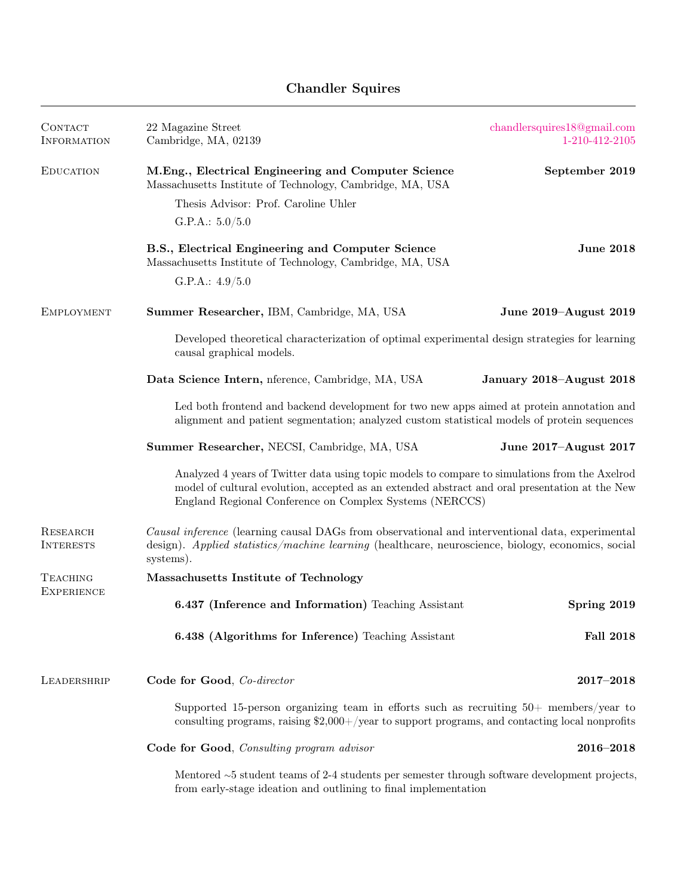## Chandler Squires

| CONTACT<br><b>INFORMATION</b>        | 22 Magazine Street<br>Cambridge, MA, 02139                                                                                                                                                                                                                  | chandlersquires18@gmail.com<br>1-210-412-2105 |
|--------------------------------------|-------------------------------------------------------------------------------------------------------------------------------------------------------------------------------------------------------------------------------------------------------------|-----------------------------------------------|
| <b>EDUCATION</b>                     | M.Eng., Electrical Engineering and Computer Science<br>Massachusetts Institute of Technology, Cambridge, MA, USA                                                                                                                                            | September 2019                                |
|                                      | Thesis Advisor: Prof. Caroline Uhler                                                                                                                                                                                                                        |                                               |
|                                      | G.P.A.: $5.0/5.0$                                                                                                                                                                                                                                           |                                               |
|                                      | B.S., Electrical Engineering and Computer Science<br>Massachusetts Institute of Technology, Cambridge, MA, USA                                                                                                                                              | <b>June 2018</b>                              |
|                                      | G.P.A.: $4.9/5.0$                                                                                                                                                                                                                                           |                                               |
| <b>EMPLOYMENT</b>                    | Summer Researcher, IBM, Cambridge, MA, USA                                                                                                                                                                                                                  | June 2019-August 2019                         |
|                                      | Developed theoretical characterization of optimal experimental design strategies for learning<br>causal graphical models.                                                                                                                                   |                                               |
|                                      | Data Science Intern, nference, Cambridge, MA, USA                                                                                                                                                                                                           | January 2018-August 2018                      |
|                                      | Led both frontend and backend development for two new apps aimed at protein annotation and<br>alignment and patient segmentation; analyzed custom statistical models of protein sequences                                                                   |                                               |
|                                      | Summer Researcher, NECSI, Cambridge, MA, USA                                                                                                                                                                                                                | June 2017–August 2017                         |
|                                      | Analyzed 4 years of Twitter data using topic models to compare to simulations from the Axelrod<br>model of cultural evolution, accepted as an extended abstract and oral presentation at the New<br>England Regional Conference on Complex Systems (NERCCS) |                                               |
| RESEARCH<br><b>INTERESTS</b>         | Causal inference (learning causal DAGs from observational and interventional data, experimental<br>design). Applied statistics/machine learning (healthcare, neuroscience, biology, economics, social<br>systems).                                          |                                               |
| <b>TEACHING</b><br><b>EXPERIENCE</b> | Massachusetts Institute of Technology                                                                                                                                                                                                                       |                                               |
|                                      | 6.437 (Inference and Information) Teaching Assistant                                                                                                                                                                                                        | Spring 2019                                   |
|                                      | 6.438 (Algorithms for Inference) Teaching Assistant                                                                                                                                                                                                         | <b>Fall 2018</b>                              |
| LEADERSHRIP                          | Code for Good, Co-director                                                                                                                                                                                                                                  | $2017 - 2018$                                 |
|                                      | Supported 15-person organizing team in efforts such as recruiting $50+$ members/year to<br>consulting programs, raising $$2,000+$ /year to support programs, and contacting local nonprofits                                                                |                                               |
|                                      | Code for Good, Consulting program advisor                                                                                                                                                                                                                   | $2016 - 2018$                                 |
|                                      | Mentored $\sim$ 5 student teams of 2-4 students per semester through software development projects,<br>from early-stage ideation and outlining to final implementation                                                                                      |                                               |